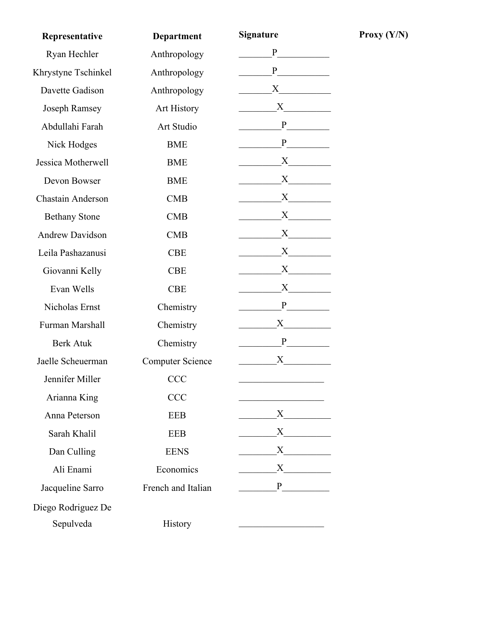| Representative         | <b>Department</b>       | <b>Signature</b> |
|------------------------|-------------------------|------------------|
| Ryan Hechler           | Anthropology            | P                |
| Khrystyne Tschinkel    | Anthropology            | P <sub>2</sub>   |
| Davette Gadison        | Anthropology            | $\mathbf X$      |
| Joseph Ramsey          | <b>Art History</b>      | X                |
| Abdullahi Farah        | Art Studio              | P                |
| Nick Hodges            | <b>BME</b>              | P                |
| Jessica Motherwell     | <b>BME</b>              | $X \sim$         |
| Devon Bowser           | <b>BME</b>              | X                |
| Chastain Anderson      | <b>CMB</b>              | X                |
| <b>Bethany Stone</b>   | <b>CMB</b>              | X                |
| <b>Andrew Davidson</b> | CMB                     | X                |
| Leila Pashazanusi      | <b>CBE</b>              | X                |
| Giovanni Kelly         | <b>CBE</b>              | X                |
| Evan Wells             | <b>CBE</b>              | X                |
| Nicholas Ernst         | Chemistry               | P                |
| Furman Marshall        | Chemistry               | $X \sim$         |
| <b>Berk Atuk</b>       | Chemistry               | P                |
| Jaelle Scheuerman      | <b>Computer Science</b> | X                |
| Jennifer Miller        | <b>CCC</b>              |                  |
| Arianna King           | <b>CCC</b>              |                  |
| Anna Peterson          | <b>EEB</b>              | $X \quad \qquad$ |
| Sarah Khalil           | <b>EEB</b>              |                  |
| Dan Culling            | <b>EENS</b>             |                  |
| Ali Enami              | Economics               | $X$ <sub>1</sub> |
| Jacqueline Sarro       | French and Italian      | $P \quad \qquad$ |
| Diego Rodriguez De     |                         |                  |
| Sepulveda              | History                 |                  |

**Proxy**  $(Y/N)$